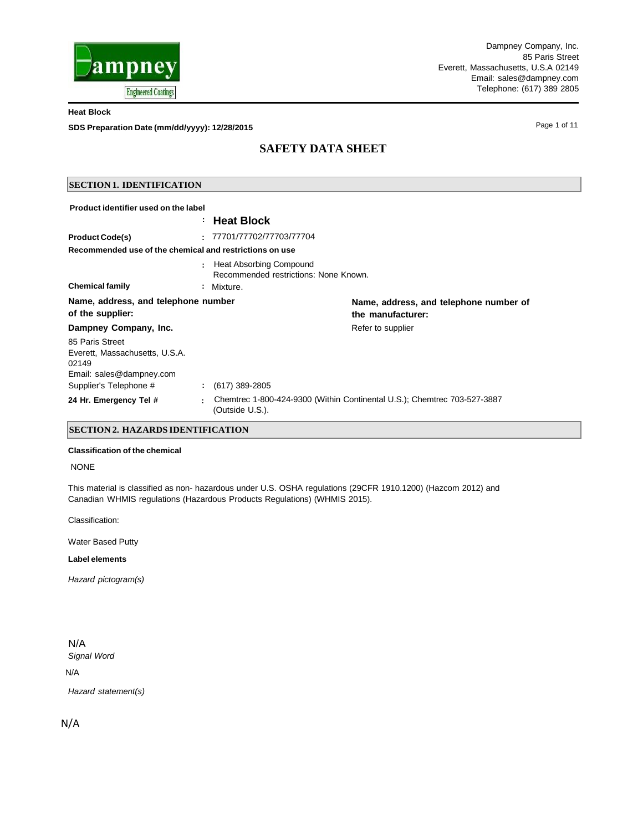

Page 1 of 11

**Heat Block**

**SDS Preparation Date (mm/dd/yyyy): 12/28/2015**

# **SAFETY DATA SHEET**

## **SECTION 1. IDENTIFICATION**

| Product identifier used on the label                       |   |                                                                  |                                                                          |
|------------------------------------------------------------|---|------------------------------------------------------------------|--------------------------------------------------------------------------|
|                                                            |   | <b>Heat Block</b>                                                |                                                                          |
| <b>Product Code(s)</b>                                     |   | 77701/77702/77703/77704                                          |                                                                          |
| Recommended use of the chemical and restrictions on use    |   |                                                                  |                                                                          |
|                                                            |   | Heat Absorbing Compound<br>Recommended restrictions: None Known. |                                                                          |
| <b>Chemical family</b>                                     | ÷ | Mixture.                                                         |                                                                          |
| Name, address, and telephone number<br>of the supplier:    |   |                                                                  | Name, address, and telephone number of<br>the manufacturer:              |
| Dampney Company, Inc.                                      |   |                                                                  | Refer to supplier                                                        |
| 85 Paris Street<br>Everett, Massachusetts, U.S.A.<br>02149 |   |                                                                  |                                                                          |
| Email: sales@dampney.com<br>Supplier's Telephone #         |   | $(617)$ 389-2805                                                 |                                                                          |
|                                                            |   |                                                                  |                                                                          |
| 24 Hr. Emergency Tel #                                     |   | (Outside U.S.).                                                  | Chemtrec 1-800-424-9300 (Within Continental U.S.); Chemtrec 703-527-3887 |

### **SECTION 2. HAZARDS IDENTIFICATION**

### **Classification of the chemical**

### NONE

This material is classified as non- hazardous under U.S. OSHA regulations (29CFR 1910.1200) (Hazcom 2012) and Canadian WHMIS regulations (Hazardous Products Regulations) (WHMIS 2015).

Classification:

Water Based Putty

**Label elements**

*Hazard pictogram(s)*

## N/A

*Signal Word*

### N/A

*Hazard statement(s)*

N/A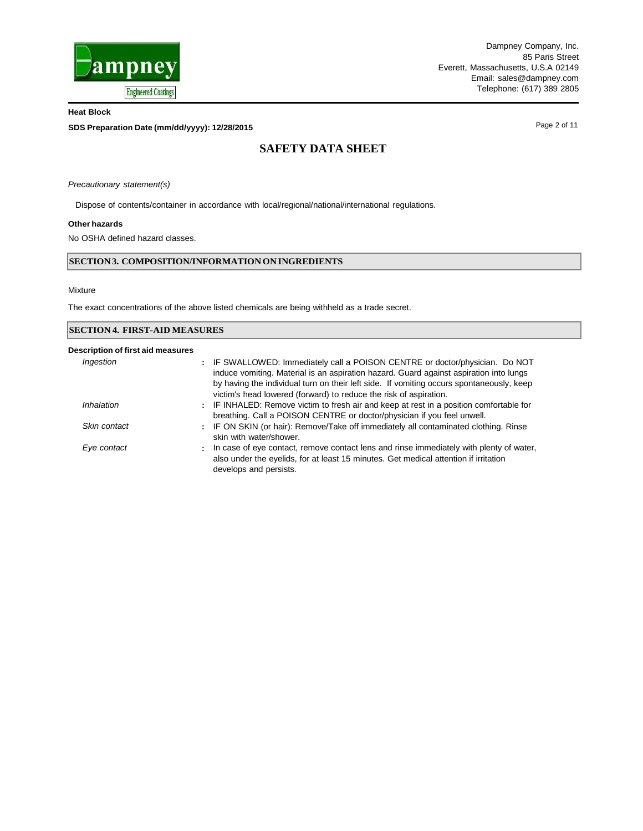

**SDS Preparation Date (mm/dd/yyyy): 12/28/2015**

Page 2 of 11

# **SAFETY DATA SHEET**

*Precautionary statement(s)*

Dispose of contents/container in accordance with local/regional/national/international regulations.

### **Other hazards**

No OSHA defined hazard classes.

### **SECTION3. COMPOSITION/INFORMATIONON INGREDIENTS**

#### Mixture

The exact concentrations of the above listed chemicals are being withheld as a trade secret.

| <b>SECTION 4. FIRST-AID MEASURES</b> |                                                                                                                                                                                                                                                                                                                                         |  |  |  |  |
|--------------------------------------|-----------------------------------------------------------------------------------------------------------------------------------------------------------------------------------------------------------------------------------------------------------------------------------------------------------------------------------------|--|--|--|--|
| Description of first aid measures    |                                                                                                                                                                                                                                                                                                                                         |  |  |  |  |
| Ingestion                            | : IF SWALLOWED: Immediately call a POISON CENTRE or doctor/physician. Do NOT<br>induce vomiting. Material is an aspiration hazard. Guard against aspiration into lungs<br>by having the individual turn on their left side. If vomiting occurs spontaneously, keep<br>victim's head lowered (forward) to reduce the risk of aspiration. |  |  |  |  |
| Inhalation                           | : IF INHALED: Remove victim to fresh air and keep at rest in a position comfortable for<br>breathing. Call a POISON CENTRE or doctor/physician if you feel unwell.                                                                                                                                                                      |  |  |  |  |
| Skin contact                         | : IF ON SKIN (or hair): Remove/Take off immediately all contaminated clothing. Rinse<br>skin with water/shower.                                                                                                                                                                                                                         |  |  |  |  |
| Eye contact                          | In case of eye contact, remove contact lens and rinse immediately with plenty of water,<br>÷<br>also under the eyelids, for at least 15 minutes. Get medical attention if irritation<br>develops and persists.                                                                                                                          |  |  |  |  |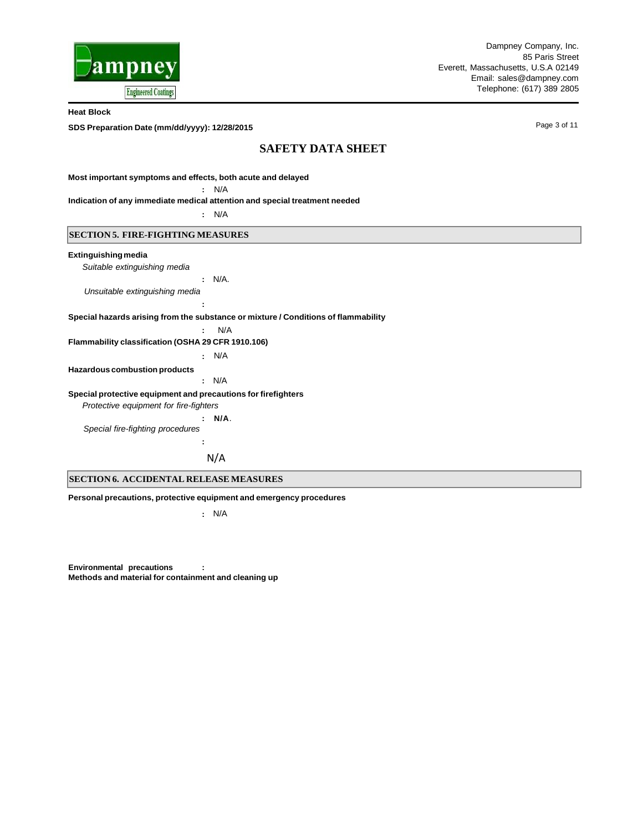

**SDS Preparation Date (mm/dd/yyyy): 12/28/2015**

Page 3 of 11

## **SAFETY DATA SHEET**

**Most important symptoms and effects, both acute and delayed**

**:** N/A

**Indication of any immediate medical attention and special treatment needed**

**:** N/A

### **SECTION 5. FIRE-FIGHTING MEASURES**

#### **Extinguishingmedia**

*Suitable extinguishing media*

**:** N/A.

*Unsuitable extinguishing media*

**Special hazards arising from the substance or mixture / Conditions of flammability**

**:** N/A

**:**

#### **Flammability classification (OSHA 29 CFR 1910.106)**

**:** N/A

### **Hazardous combustion products**

**:** N/A

#### **Special protective equipment and precautions for firefighters**

*Protective equipment for fire-fighters*

**: N/A**. *Special fire-fighting procedures*

N/A

#### **SECTION 6. ACCIDENTAL RELEASE MEASURES**

**Personal precautions, protective equipment and emergency procedures**

**:**

**:** N/A

**Environmental precautions : Methods and material for containment and cleaning up**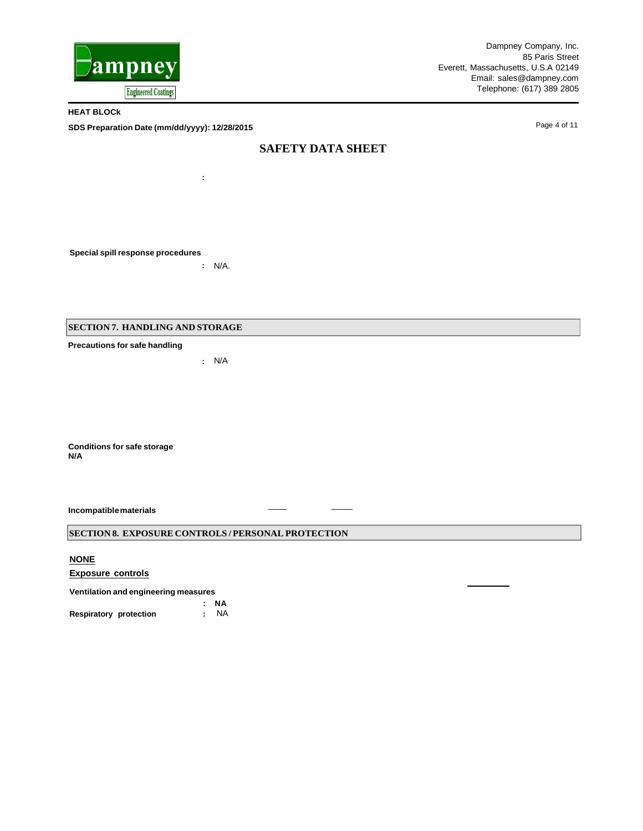

Dampney Company, Inc. 85 Paris Street Everett, Massachusetts, U.S.A 02149 Email: [sales@dampney.com](mailto:sales@dampney.com) Telephone: (617) 389 2805

**HEAT BLOCk**

**SDS Preparation Date (mm/dd/yyyy): 12/28/2015**

Page 4 of 11

## **SAFETY DATA SHEET**

**Special spill response procedures**

**:** N/A.

**:**

**SECTION 7. HANDLING AND STORAGE**

**Precautions for safe handling**

**:** N/A

**Conditions for safe storage N/A**

**Incompatiblematerials**

## **SECTION 8. EXPOSURE CONTROLS / PERSONAL PROTECTION**

**NONE**

**Exposure controls**

**Ventilation and engineering measures**

**: NA**  $Respiratory$  protection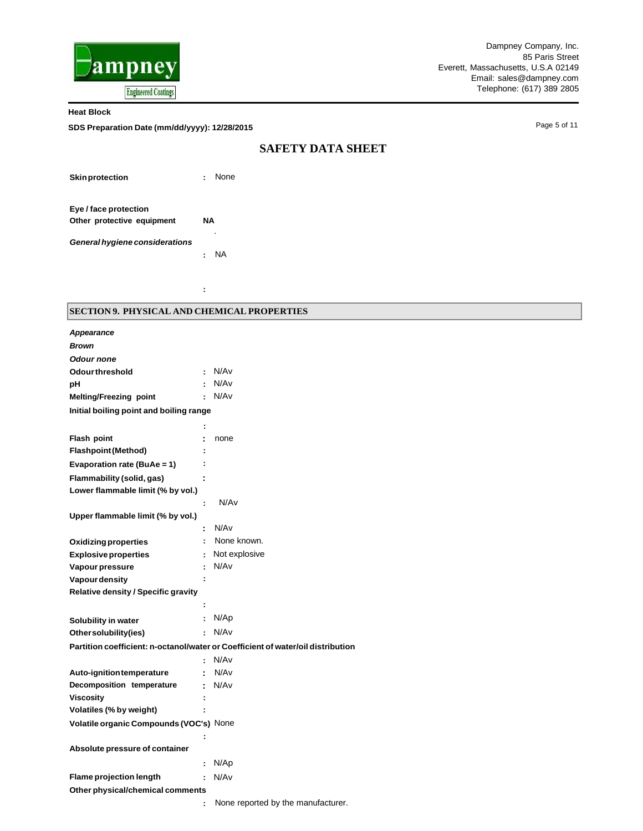

**SDS Preparation Date (mm/dd/yyyy): 12/28/2015**

Page 5 of 11

## **SAFETY DATA SHEET**

**Skinprotection :** None

**Eye / face protection Other protective equipment NA**

*General hygiene considerations*

**:** NA

**:** 

*.*

## **SECTION 9. PHYSICAL AND CHEMICAL PROPERTIES**

| <b>Appearance</b>                          |   |                                                                                 |
|--------------------------------------------|---|---------------------------------------------------------------------------------|
| <b>Brown</b>                               |   |                                                                                 |
| <b>Odour none</b>                          |   |                                                                                 |
| <b>Odourthreshold</b>                      | ÷ | N/Av                                                                            |
| рH                                         | ÷ | N/Av                                                                            |
| Melting/Freezing point                     | ÷ | N/Av                                                                            |
| Initial boiling point and boiling range    |   |                                                                                 |
|                                            | ÷ |                                                                                 |
| Flash point                                | t | none                                                                            |
| <b>Flashpoint (Method)</b>                 | t |                                                                                 |
| Evaporation rate (BuAe = 1)                | t |                                                                                 |
| Flammability (solid, gas)                  | ÷ |                                                                                 |
| Lower flammable limit (% by vol.)          |   |                                                                                 |
|                                            | ÷ | N/Av                                                                            |
| Upper flammable limit (% by vol.)          |   |                                                                                 |
|                                            | t | N/Av                                                                            |
| <b>Oxidizing properties</b>                | ÷ | None known.                                                                     |
| <b>Explosive properties</b>                | ÷ | Not explosive                                                                   |
| Vapour pressure                            | ÷ | N/A <sub>v</sub>                                                                |
| Vapour density                             | ÷ |                                                                                 |
| <b>Relative density / Specific gravity</b> |   |                                                                                 |
|                                            | ÷ |                                                                                 |
| Solubility in water                        | ÷ | N/Ap                                                                            |
| Othersolubility(ies)                       | ÷ | N/Av                                                                            |
|                                            |   | Partition coefficient: n-octanol/water or Coefficient of water/oil distribution |
|                                            | ÷ | N/Av                                                                            |
| Auto-ignition temperature                  |   | N/Av                                                                            |
| Decomposition temperature                  | ÷ | N/Av                                                                            |
| Viscosity                                  | ÷ |                                                                                 |
| Volatiles (% by weight)                    |   |                                                                                 |
| Volatile organic Compounds (VOC's) None    |   |                                                                                 |
|                                            | ÷ |                                                                                 |
| Absolute pressure of container             |   |                                                                                 |
|                                            | ÷ | N/Ap                                                                            |
| <b>Flame projection length</b>             | ÷ | N/Av                                                                            |
| Other physical/chemical comments           |   |                                                                                 |
|                                            | ÷ | None reported by the manufacturer.                                              |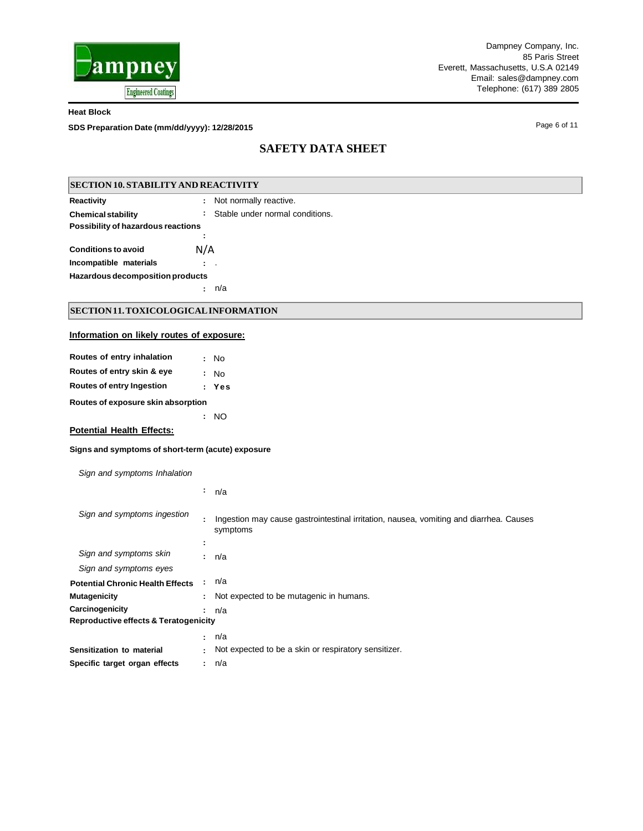

**SDS Preparation Date (mm/dd/yyyy): 12/28/2015**

Page 6 of 11

# **SAFETY DATA SHEET**

| <b>SECTION 10. STABILITY AND REACTIVITY</b> |                                    |  |  |  |  |  |  |
|---------------------------------------------|------------------------------------|--|--|--|--|--|--|
| <b>Reactivity</b>                           | : Not normally reactive.           |  |  |  |  |  |  |
| <b>Chemical stability</b>                   | : Stable under normal conditions.  |  |  |  |  |  |  |
| Possibility of hazardous reactions          |                                    |  |  |  |  |  |  |
|                                             |                                    |  |  |  |  |  |  |
| <b>Conditions to avoid</b>                  | N/A                                |  |  |  |  |  |  |
| Incompatible materials                      | $\mathbb{R}^n$                     |  |  |  |  |  |  |
| Hazardous decomposition products            |                                    |  |  |  |  |  |  |
|                                             | n/a<br>$\mathbf{r}$                |  |  |  |  |  |  |
| SECTION 11. TOXICOLOGICAL INFORMATION       |                                    |  |  |  |  |  |  |
| Information on likely routes of exposure:   |                                    |  |  |  |  |  |  |
| Routes of entry inhalation                  | : No                               |  |  |  |  |  |  |
| Routes of entry skin & eye                  | : No                               |  |  |  |  |  |  |
| <b>Routes of entry Ingestion</b>            | : Yes                              |  |  |  |  |  |  |
|                                             | Routes of exposure skin absorption |  |  |  |  |  |  |
|                                             | : NO                               |  |  |  |  |  |  |

**Potential Health Effects:**

**Signs and symptoms of short-term (acute) exposure**

*Sign and symptoms Inhalation*

|                                                  | ÷  | n/a                                                                                                |
|--------------------------------------------------|----|----------------------------------------------------------------------------------------------------|
| Sign and symptoms ingestion                      | ÷  | Ingestion may cause gastrointestinal irritation, nausea, vomiting and diarrhea. Causes<br>symptoms |
|                                                  | ÷  |                                                                                                    |
| Sign and symptoms skin                           |    | : n/a                                                                                              |
| Sign and symptoms eyes                           |    |                                                                                                    |
| <b>Potential Chronic Health Effects</b>          |    | n/a                                                                                                |
| <b>Mutagenicity</b>                              |    | : Not expected to be mutagenic in humans.                                                          |
| Carcinogenicity                                  |    | ∶ n/a                                                                                              |
| <b>Reproductive effects &amp; Teratogenicity</b> |    |                                                                                                    |
|                                                  |    | : n/a                                                                                              |
| Sensitization to material                        | ÷. | Not expected to be a skin or respiratory sensitizer.                                               |
| Specific target organ effects                    |    | : n/a                                                                                              |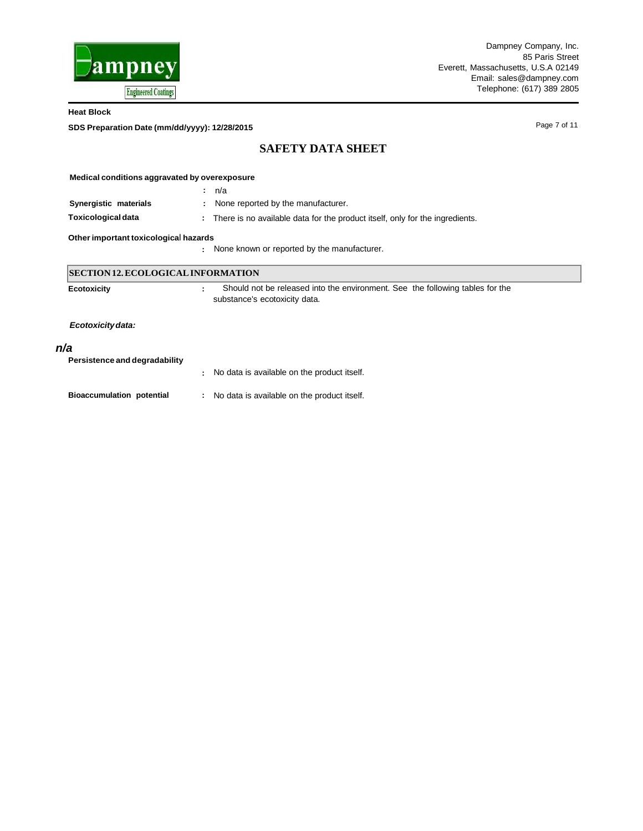

**SDS Preparation Date (mm/dd/yyyy): 12/28/2015**

Page 7 of 11

## **SAFETY DATA SHEET**

| Medical conditions aggravated by overexposure |                                                                                                                |  |  |  |  |  |
|-----------------------------------------------|----------------------------------------------------------------------------------------------------------------|--|--|--|--|--|
|                                               | n/a<br>÷.                                                                                                      |  |  |  |  |  |
| Synergistic materials                         | None reported by the manufacturer.                                                                             |  |  |  |  |  |
| Toxicological data                            | : There is no available data for the product itself, only for the ingredients.                                 |  |  |  |  |  |
| Other important toxicological hazards         |                                                                                                                |  |  |  |  |  |
|                                               | None known or reported by the manufacturer.                                                                    |  |  |  |  |  |
| <b>SECTION 12. ECOLOGICAL INFORMATION</b>     |                                                                                                                |  |  |  |  |  |
| <b>Ecotoxicity</b>                            | Should not be released into the environment. See the following tables for the<br>substance's ecotoxicity data. |  |  |  |  |  |
| Ecotoxicity data:                             |                                                                                                                |  |  |  |  |  |

## *n/a*

| Persistence and degradability    |                                               |
|----------------------------------|-----------------------------------------------|
|                                  | No data is available on the product itself.   |
| <b>Bioaccumulation potential</b> | : No data is available on the product itself. |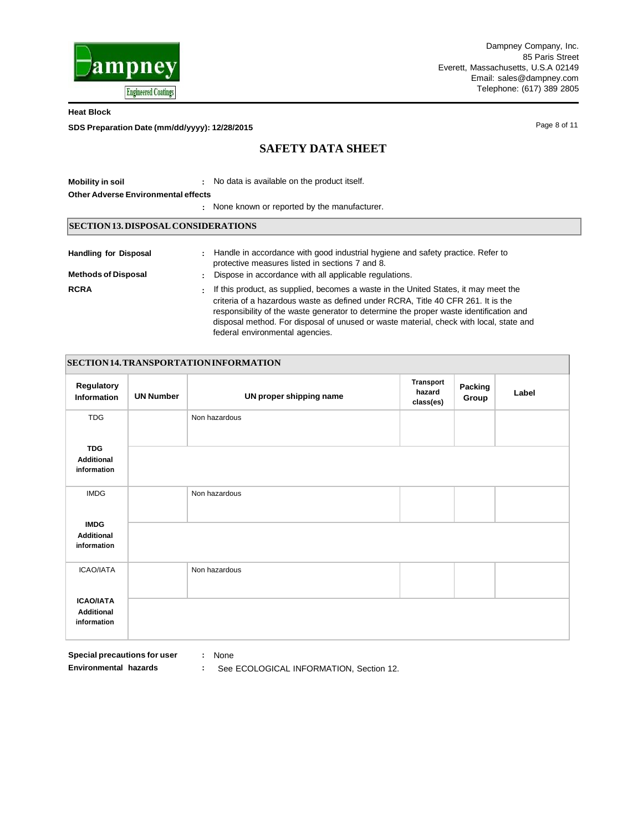

**SDS Preparation Date (mm/dd/yyyy): 12/28/2015**

Page 8 of 11

# **SAFETY DATA SHEET**

| <b>Mobility in soil</b><br><b>Other Adverse Environmental effects</b> | : No data is available on the product itself.                                                                                                                                                                                                                                                                                                                                                        |  |  |  |  |
|-----------------------------------------------------------------------|------------------------------------------------------------------------------------------------------------------------------------------------------------------------------------------------------------------------------------------------------------------------------------------------------------------------------------------------------------------------------------------------------|--|--|--|--|
| : None known or reported by the manufacturer.                         |                                                                                                                                                                                                                                                                                                                                                                                                      |  |  |  |  |
| SECTION 13. DISPOSAL CONSIDERATIONS                                   |                                                                                                                                                                                                                                                                                                                                                                                                      |  |  |  |  |
| <b>Handling for Disposal</b><br><b>Methods of Disposal</b>            | : Handle in accordance with good industrial hygiene and safety practice. Refer to<br>protective measures listed in sections 7 and 8.<br>: Dispose in accordance with all applicable regulations.                                                                                                                                                                                                     |  |  |  |  |
| <b>RCRA</b>                                                           | If this product, as supplied, becomes a waste in the United States, it may meet the<br>÷.<br>criteria of a hazardous waste as defined under RCRA, Title 40 CFR 261. It is the<br>responsibility of the waste generator to determine the proper waste identification and<br>disposal method. For disposal of unused or waste material, check with local, state and<br>federal environmental agencies. |  |  |  |  |

| SECTION 14. TRANSPORTATION INFORMATION               |                  |                         |                                  |                  |       |  |  |
|------------------------------------------------------|------------------|-------------------------|----------------------------------|------------------|-------|--|--|
| Regulatory<br>Information                            | <b>UN Number</b> | UN proper shipping name | Transport<br>hazard<br>class(es) | Packing<br>Group | Label |  |  |
| <b>TDG</b>                                           |                  | Non hazardous           |                                  |                  |       |  |  |
| <b>TDG</b><br><b>Additional</b><br>information       |                  |                         |                                  |                  |       |  |  |
| <b>IMDG</b>                                          |                  | Non hazardous           |                                  |                  |       |  |  |
| <b>IMDG</b><br><b>Additional</b><br>information      |                  |                         |                                  |                  |       |  |  |
| ICAO/IATA                                            |                  | Non hazardous           |                                  |                  |       |  |  |
| <b>ICAO/IATA</b><br><b>Additional</b><br>information |                  |                         |                                  |                  |       |  |  |

**Special precautions for user :** None

- 
- **Environmental hazards :** See ECOLOGICAL INFORMATION, Section 12.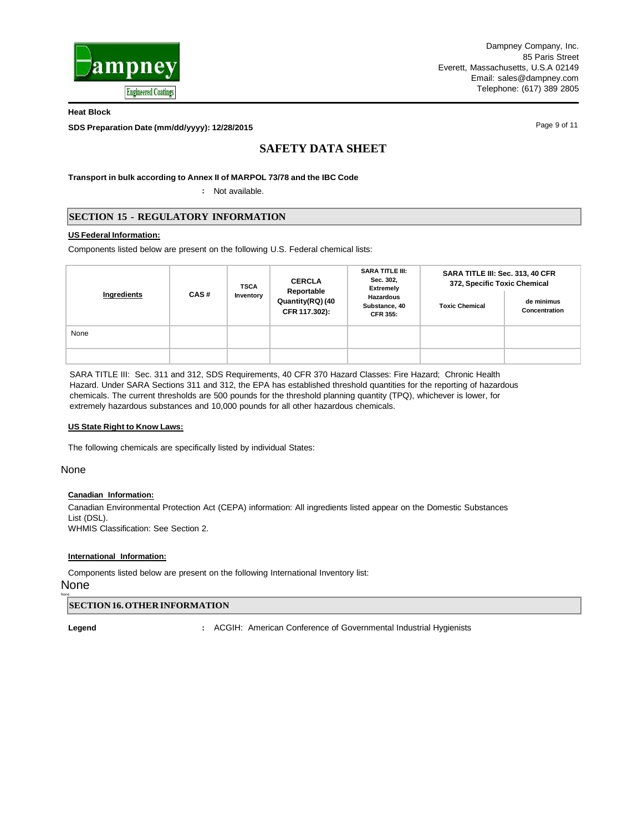

**SDS Preparation Date (mm/dd/yyyy): 12/28/2015**

Page 9 of 11

# **SAFETY DATA SHEET**

**Transport in bulk according to Annex II of MARPOL 73/78 and the IBC Code**

**:** Not available.

## **SECTION 15 - REGULATORY INFORMATION**

### **US Federal Information:**

Components listed below are present on the following U.S. Federal chemical lists:

| Ingredients | CAS# | <b>TSCA</b><br>Inventory | <b>CERCLA</b><br>Reportable<br>Quantity(RQ) (40<br>CFR 117.302): | <b>SARA TITLE III:</b><br>Sec. 302,<br><b>Extremely</b><br><b>Hazardous</b><br>Substance, 40<br><b>CFR 355:</b> | SARA TITLE III: Sec. 313, 40 CFR<br>372, Specific Toxic Chemical |                             |  |
|-------------|------|--------------------------|------------------------------------------------------------------|-----------------------------------------------------------------------------------------------------------------|------------------------------------------------------------------|-----------------------------|--|
|             |      |                          |                                                                  |                                                                                                                 | <b>Toxic Chemical</b>                                            | de minimus<br>Concentration |  |
| None        |      |                          |                                                                  |                                                                                                                 |                                                                  |                             |  |
|             |      |                          |                                                                  |                                                                                                                 |                                                                  |                             |  |

SARA TITLE III: Sec. 311 and 312, SDS Requirements, 40 CFR 370 Hazard Classes: Fire Hazard; Chronic Health Hazard. Under SARA Sections 311 and 312, the EPA has established threshold quantities for the reporting of hazardous chemicals. The current thresholds are 500 pounds for the threshold planning quantity (TPQ), whichever is lower, for extremely hazardous substances and 10,000 pounds for all other hazardous chemicals.

### **US State Right to Know Laws:**

The following chemicals are specifically listed by individual States:

None

### **Canadian Information:**

Canadian Environmental Protection Act (CEPA) information: All ingredients listed appear on the Domestic Substances List (DSL). WHMIS Classification: See Section 2.

### **International Information:**

Components listed below are present on the following International Inventory list:

## None

None

### **SECTION16.OTHER INFORMATION**

**Legend :** ACGIH: American Conference of Governmental Industrial Hygienists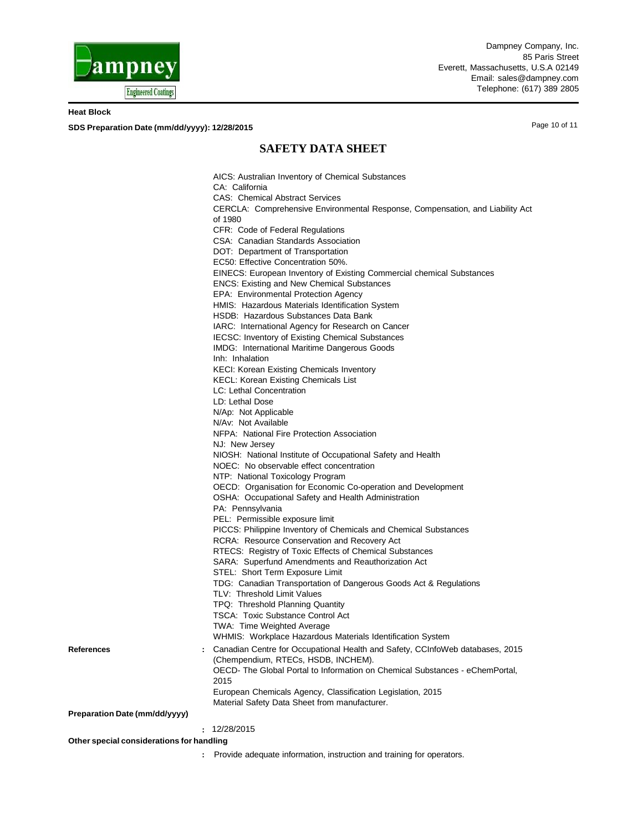

**SDS Preparation Date (mm/dd/yyyy): 12/28/2015**

Page 10 of 11

## **SAFETY DATA SHEET**

**References : Preparation Date (mm/dd/yyyy)** AICS: Australian Inventory of Chemical Substances CA: California CAS: Chemical Abstract Services CERCLA: Comprehensive Environmental Response, Compensation, and Liability Act of 1980 CFR: Code of Federal Regulations CSA: Canadian Standards Association DOT: Department of Transportation EC50: Effective Concentration 50%. EINECS: European Inventory of Existing Commercial chemical Substances ENCS: Existing and New Chemical Substances EPA: Environmental Protection Agency HMIS: Hazardous Materials Identification System HSDB: Hazardous Substances Data Bank IARC: International Agency for Research on Cancer IECSC: Inventory of Existing Chemical Substances IMDG: International Maritime Dangerous Goods Inh: Inhalation KECI: Korean Existing Chemicals Inventory KECL: Korean Existing Chemicals List LC: Lethal Concentration LD: Lethal Dose N/Ap: Not Applicable N/Av: Not Available NFPA: National Fire Protection Association NJ: New Jersey NIOSH: National Institute of Occupational Safety and Health NOEC: No observable effect concentration NTP: National Toxicology Program OECD: Organisation for Economic Co-operation and Development OSHA: Occupational Safety and Health Administration PA: Pennsylvania PEL: Permissible exposure limit PICCS: Philippine Inventory of Chemicals and Chemical Substances RCRA: Resource Conservation and Recovery Act RTECS: Registry of Toxic Effects of Chemical Substances SARA: Superfund Amendments and Reauthorization Act STEL: Short Term Exposure Limit TDG: Canadian Transportation of Dangerous Goods Act & Regulations TLV: Threshold Limit Values TPQ: Threshold Planning Quantity TSCA: Toxic Substance Control Act TWA: Time Weighted Average WHMIS: Workplace Hazardous Materials Identification System Canadian Centre for Occupational Health and Safety, CCInfoWeb databases, 2015 (Chempendium, RTECs, HSDB, INCHEM). OECD- The Global Portal to Information on Chemical Substances - eChemPortal, 2015 European Chemicals Agency, Classification Legislation, 2015 Material Safety Data Sheet from manufacturer. **:** 12/28/2015 **Other special considerations for handling**

**:** Provide adequate information, instruction and training for operators.